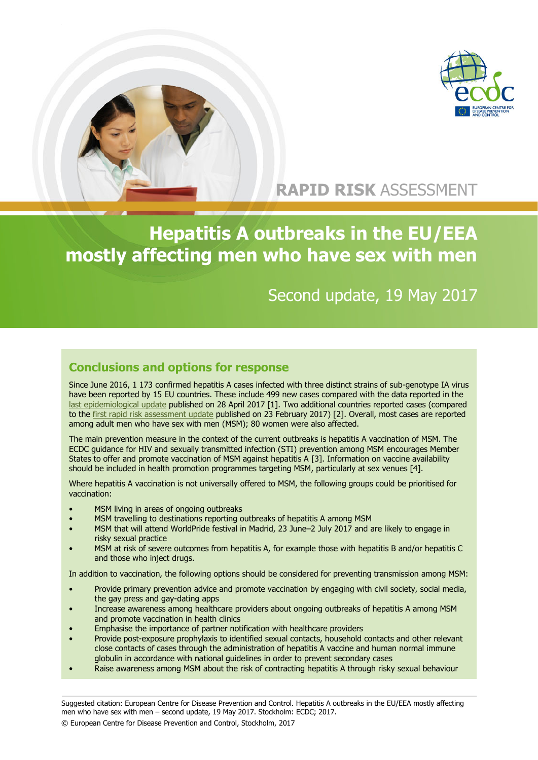

## **RAPID RISK** ASSESSMENT

# **Hepatitis A outbreaks in the EU/EEA mostly affecting men who have sex with men**

## Second update, 19 May 2017

### **Conclusions and options for response**

Since June 2016, 1 173 confirmed hepatitis A cases infected with three distinct strains of sub-genotype IA virus have been reported by 15 EU countries. These include 499 new cases compared with the data reported in the [last epidemiological update](http://ecdc.europa.eu/en/press/news/_layouts/forms/News_DispForm.aspx?ID=1607&List=8db7286c-fe2d-476c-9133-18ff4cb1b568&Source=http%3A%2F%2Fecdc%2Eeuropa%2Eeu%2Fen%2Fpress%2Fepidemiological_updates%2FPages%2Fepidemiological_updates%2Easpx) published on 28 April 2017 [1]. Two additional countries reported cases (compared to the [first rapid risk assessment update](http://ecdc.europa.eu/en/publications/Publications/16-02-2017-RRA%20UPDATE%201-Hepatitis%20A-United%20Kingdom.pdf) published on 23 February 2017) [2]. Overall, most cases are reported among adult men who have sex with men (MSM); 80 women were also affected.

The main prevention measure in the context of the current outbreaks is hepatitis A vaccination of MSM. The ECDC guidance for HIV and sexually transmitted infection (STI) prevention among MSM encourages Member States to offer and promote vaccination of MSM against hepatitis A [3]. Information on vaccine availability should be included in health promotion programmes targeting MSM, particularly at sex venues [4].

Where hepatitis A vaccination is not universally offered to MSM, the following groups could be prioritised for vaccination:

- MSM living in areas of ongoing outbreaks
- MSM travelling to destinations reporting outbreaks of hepatitis A among MSM
- MSM that will attend WorldPride festival in Madrid, 23 June–2 July 2017 and are likely to engage in risky sexual practice
- MSM at risk of severe outcomes from hepatitis A, for example those with hepatitis B and/or hepatitis C and those who inject drugs.

In addition to vaccination, the following options should be considered for preventing transmission among MSM:

- Provide primary prevention advice and promote vaccination by engaging with civil society, social media, the gay press and gay-dating apps
- Increase awareness among healthcare providers about ongoing outbreaks of hepatitis A among MSM and promote vaccination in health clinics
- Emphasise the importance of partner notification with healthcare providers
- Provide post-exposure prophylaxis to identified sexual contacts, household contacts and other relevant close contacts of cases through the administration of hepatitis A vaccine and human normal immune globulin in accordance with national guidelines in order to prevent secondary cases
- Raise awareness among MSM about the risk of contracting hepatitis A through risky sexual behaviour

Suggested citation: European Centre for Disease Prevention and Control. Hepatitis A outbreaks in the EU/EEA mostly affecting men who have sex with men – second update, 19 May 2017. Stockholm: ECDC; 2017.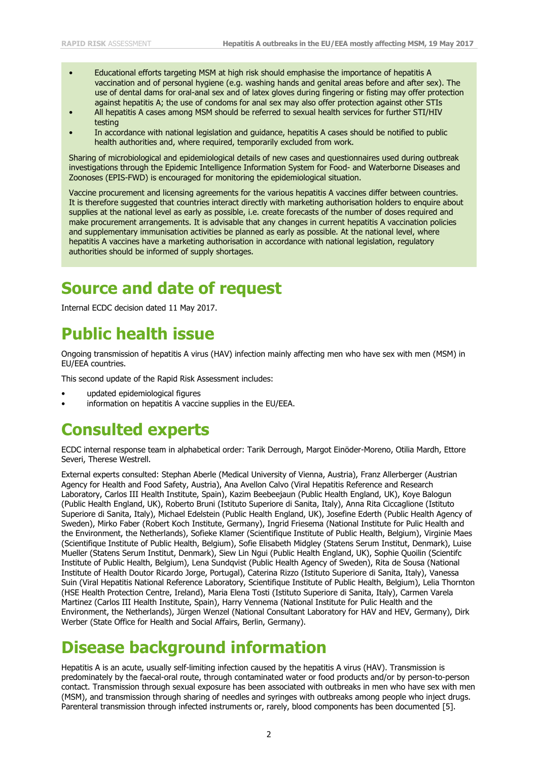- Educational efforts targeting MSM at high risk should emphasise the importance of hepatitis A vaccination and of personal hygiene (e.g. washing hands and genital areas before and after sex). The use of dental dams for oral-anal sex and of latex gloves during fingering or fisting may offer protection against hepatitis A; the use of condoms for anal sex may also offer protection against other STIs
- All hepatitis A cases among MSM should be referred to sexual health services for further STI/HIV testing
- In accordance with national legislation and guidance, hepatitis A cases should be notified to public health authorities and, where required, temporarily excluded from work.

Sharing of microbiological and epidemiological details of new cases and questionnaires used during outbreak investigations through the Epidemic Intelligence Information System for Food- and Waterborne Diseases and Zoonoses (EPIS-FWD) is encouraged for monitoring the epidemiological situation.

Vaccine procurement and licensing agreements for the various hepatitis A vaccines differ between countries. It is therefore suggested that countries interact directly with marketing authorisation holders to enquire about supplies at the national level as early as possible, i.e. create forecasts of the number of doses required and make procurement arrangements. It is advisable that any changes in current hepatitis A vaccination policies and supplementary immunisation activities be planned as early as possible. At the national level, where hepatitis A vaccines have a marketing authorisation in accordance with national legislation, regulatory authorities should be informed of supply shortages.

## **Source and date of request**

Internal ECDC decision dated 11 May 2017.

## **Public health issue**

Ongoing transmission of hepatitis A virus (HAV) infection mainly affecting men who have sex with men (MSM) in EU/EEA countries.

This second update of the Rapid Risk Assessment includes:

- updated epidemiological figures
- information on hepatitis A vaccine supplies in the EU/EEA.

### **Consulted experts**

ECDC internal response team in alphabetical order: Tarik Derrough, Margot Einöder-Moreno, Otilia Mardh, Ettore Severi, Therese Westrell.

External experts consulted: Stephan Aberle (Medical University of Vienna, Austria), Franz Allerberger (Austrian Agency for Health and Food Safety, Austria), Ana Avellon Calvo (Viral Hepatitis Reference and Research Laboratory, Carlos III Health Institute, Spain), Kazim Beebeejaun (Public Health England, UK), Koye Balogun (Public Health England, UK), Roberto Bruni (Istituto Superiore di Sanita, Italy), Anna Rita Ciccaglione (Istituto Superiore di Sanita, Italy), Michael Edelstein (Public Health England, UK), Josefine Ederth (Public Health Agency of Sweden), Mirko Faber (Robert Koch Institute, Germany), Ingrid Friesema (National Institute for Pulic Health and the Environment, the Netherlands), Sofieke Klamer (Scientifique Institute of Public Health, Belgium), Virginie Maes (Scientifique Institute of Public Health, Belgium), Sofie Elisabeth Midgley (Statens Serum Institut, Denmark), Luise Mueller (Statens Serum Institut, Denmark), Siew Lin Ngui (Public Health England, UK), Sophie Quoilin (Scientifc Institute of Public Health, Belgium), Lena Sundqvist (Public Health Agency of Sweden), Rita de Sousa (National Institute of Health Doutor Ricardo Jorge, Portugal), Caterina Rizzo (Istituto Superiore di Sanita, Italy), Vanessa Suin (Viral Hepatitis National Reference Laboratory, Scientifique Institute of Public Health, Belgium), Lelia Thornton (HSE Health Protection Centre, Ireland), Maria Elena Tosti (Istituto Superiore di Sanita, Italy), Carmen Varela Martinez (Carlos III Health Institute, Spain), Harry Vennema (National Institute for Pulic Health and the Environment, the Netherlands), Jürgen Wenzel (National Consultant Laboratory for HAV and HEV, Germany), Dirk Werber (State Office for Health and Social Affairs, Berlin, Germany).

## **Disease background information**

Hepatitis A is an acute, usually self-limiting infection caused by the hepatitis A virus (HAV). Transmission is predominately by the faecal-oral route, through contaminated water or food products and/or by person-to-person contact. Transmission through sexual exposure has been associated with outbreaks in men who have sex with men (MSM), and transmission through sharing of needles and syringes with outbreaks among people who inject drugs. Parenteral transmission through infected instruments or, rarely, blood components has been documented [5].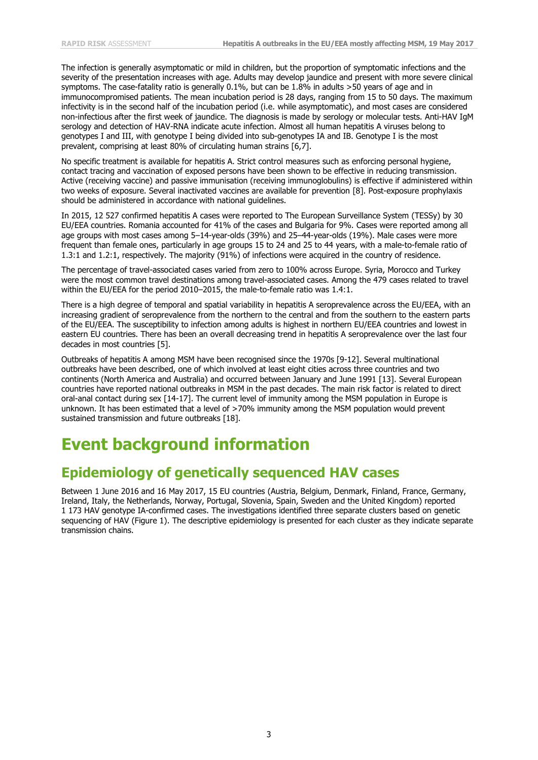The infection is generally asymptomatic or mild in children, but the proportion of symptomatic infections and the severity of the presentation increases with age. Adults may develop jaundice and present with more severe clinical symptoms. The case-fatality ratio is generally 0.1%, but can be 1.8% in adults >50 years of age and in immunocompromised patients. The mean incubation period is 28 days, ranging from 15 to 50 days. The maximum infectivity is in the second half of the incubation period (i.e. while asymptomatic), and most cases are considered non-infectious after the first week of jaundice. The diagnosis is made by serology or molecular tests. Anti-HAV IgM serology and detection of HAV-RNA indicate acute infection. Almost all human hepatitis A viruses belong to genotypes I and III, with genotype I being divided into sub-genotypes IA and IB. Genotype I is the most prevalent, comprising at least 80% of circulating human strains [6,7].

No specific treatment is available for hepatitis A. Strict control measures such as enforcing personal hygiene, contact tracing and vaccination of exposed persons have been shown to be effective in reducing transmission. Active (receiving vaccine) and passive immunisation (receiving immunoglobulins) is effective if administered within two weeks of exposure. Several inactivated vaccines are available for prevention [8]. Post-exposure prophylaxis should be administered in accordance with national guidelines.

In 2015, 12 527 confirmed hepatitis A cases were reported to The European Surveillance System (TESSy) by 30 EU/EEA countries. Romania accounted for 41% of the cases and Bulgaria for 9%. Cases were reported among all age groups with most cases among 5–14-year-olds (39%) and 25–44-year-olds (19%). Male cases were more frequent than female ones, particularly in age groups 15 to 24 and 25 to 44 years, with a male-to-female ratio of 1.3:1 and 1.2:1, respectively. The majority (91%) of infections were acquired in the country of residence.

The percentage of travel-associated cases varied from zero to 100% across Europe. Syria, Morocco and Turkey were the most common travel destinations among travel-associated cases. Among the 479 cases related to travel within the EU/EEA for the period 2010–2015, the male-to-female ratio was 1.4:1.

There is a high degree of temporal and spatial variability in hepatitis A seroprevalence across the EU/EEA, with an increasing gradient of seroprevalence from the northern to the central and from the southern to the eastern parts of the EU/EEA. The susceptibility to infection among adults is highest in northern EU/EEA countries and lowest in eastern EU countries. There has been an overall decreasing trend in hepatitis A seroprevalence over the last four decades in most countries [5].

Outbreaks of hepatitis A among MSM have been recognised since the 1970s [9-12]. Several multinational outbreaks have been described, one of which involved at least eight cities across three countries and two continents (North America and Australia) and occurred between January and June 1991 [13]. Several European countries have reported national outbreaks in MSM in the past decades. The main risk factor is related to direct oral-anal contact during sex [14-17]. The current level of immunity among the MSM population in Europe is unknown. It has been estimated that a level of >70% immunity among the MSM population would prevent sustained transmission and future outbreaks [18].

# **Event background information**

### **Epidemiology of genetically sequenced HAV cases**

Between 1 June 2016 and 16 May 2017, 15 EU countries (Austria, Belgium, Denmark, Finland, France, Germany, Ireland, Italy, the Netherlands, Norway, Portugal, Slovenia, Spain, Sweden and the United Kingdom) reported 1 173 HAV genotype IA-confirmed cases. The investigations identified three separate clusters based on genetic sequencing of HAV (Figure 1). The descriptive epidemiology is presented for each cluster as they indicate separate transmission chains.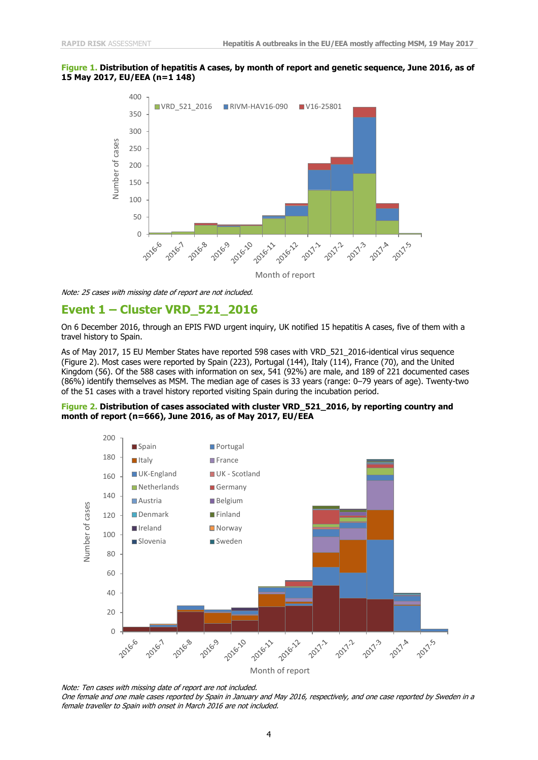#### **Figure 1. Distribution of hepatitis A cases, by month of report and genetic sequence, June 2016, as of 15 May 2017, EU/EEA (n=1 148)**



Note: 25 cases with missing date of report are not included.

#### **Event 1 – Cluster VRD\_521\_2016**

On 6 December 2016, through an EPIS FWD urgent inquiry, UK notified 15 hepatitis A cases, five of them with a travel history to Spain.

As of May 2017, 15 EU Member States have reported 598 cases with VRD\_521\_2016-identical virus sequence (Figure 2). Most cases were reported by Spain (223), Portugal (144), Italy (114), France (70), and the United Kingdom (56). Of the 588 cases with information on sex, 541 (92%) are male, and 189 of 221 documented cases (86%) identify themselves as MSM. The median age of cases is 33 years (range: 0–79 years of age). Twenty-two of the 51 cases with a travel history reported visiting Spain during the incubation period.

#### **Figure 2. Distribution of cases associated with cluster VRD\_521\_2016, by reporting country and month of report (n=666), June 2016, as of May 2017, EU/EEA**



Note: Ten cases with missing date of report are not included. One female and one male cases reported by Spain in January and May 2016, respectively, and one case reported by Sweden in a female traveller to Spain with onset in March 2016 are not included.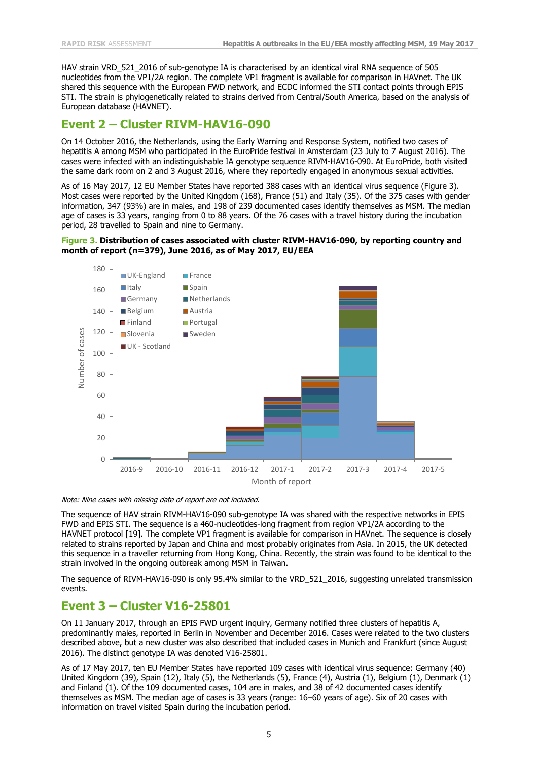HAV strain VRD 521 2016 of sub-genotype IA is characterised by an identical viral RNA sequence of 505 nucleotides from the VP1/2A region. The complete VP1 fragment is available for comparison in HAVnet. The UK shared this sequence with the European FWD network, and ECDC informed the STI contact points through EPIS STI. The strain is phylogenetically related to strains derived from Central/South America, based on the analysis of European database (HAVNET).

#### **Event 2 – Cluster RIVM-HAV16-090**

On 14 October 2016, the Netherlands, using the Early Warning and Response System, notified two cases of hepatitis A among MSM who participated in the EuroPride festival in Amsterdam (23 July to 7 August 2016). The cases were infected with an indistinguishable IA genotype sequence RIVM-HAV16-090. At EuroPride, both visited the same dark room on 2 and 3 August 2016, where they reportedly engaged in anonymous sexual activities.

As of 16 May 2017, 12 EU Member States have reported 388 cases with an identical virus sequence (Figure 3). Most cases were reported by the United Kingdom (168), France (51) and Italy (35). Of the 375 cases with gender information, 347 (93%) are in males, and 198 of 239 documented cases identify themselves as MSM. The median age of cases is 33 years, ranging from 0 to 88 years. Of the 76 cases with a travel history during the incubation period, 28 travelled to Spain and nine to Germany.

#### **Figure 3. Distribution of cases associated with cluster RIVM-HAV16-090, by reporting country and month of report (n=379), June 2016, as of May 2017, EU/EEA**



Note: Nine cases with missing date of report are not included.

The sequence of HAV strain RIVM-HAV16-090 sub-genotype IA was shared with the respective networks in EPIS FWD and EPIS STI. The sequence is a 460-nucleotides-long fragment from region VP1/2A according to the HAVNET protocol [19]. The complete VP1 fragment is available for comparison in HAVnet. The sequence is closely related to strains reported by Japan and China and most probably originates from Asia. In 2015, the UK detected this sequence in a traveller returning from Hong Kong, China. Recently, the strain was found to be identical to the strain involved in the ongoing outbreak among MSM in Taiwan.

The sequence of RIVM-HAV16-090 is only 95.4% similar to the VRD\_521\_2016, suggesting unrelated transmission events.

#### **Event 3 – Cluster V16-25801**

On 11 January 2017, through an EPIS FWD urgent inquiry, Germany notified three clusters of hepatitis A, predominantly males, reported in Berlin in November and December 2016. Cases were related to the two clusters described above, but a new cluster was also described that included cases in Munich and Frankfurt (since August 2016). The distinct genotype IA was denoted V16-25801.

As of 17 May 2017, ten EU Member States have reported 109 cases with identical virus sequence: Germany (40) United Kingdom (39), Spain (12), Italy (5), the Netherlands (5), France (4), Austria (1), Belgium (1), Denmark (1) and Finland (1). Of the 109 documented cases, 104 are in males, and 38 of 42 documented cases identify themselves as MSM. The median age of cases is 33 years (range: 16–60 years of age). Six of 20 cases with information on travel visited Spain during the incubation period.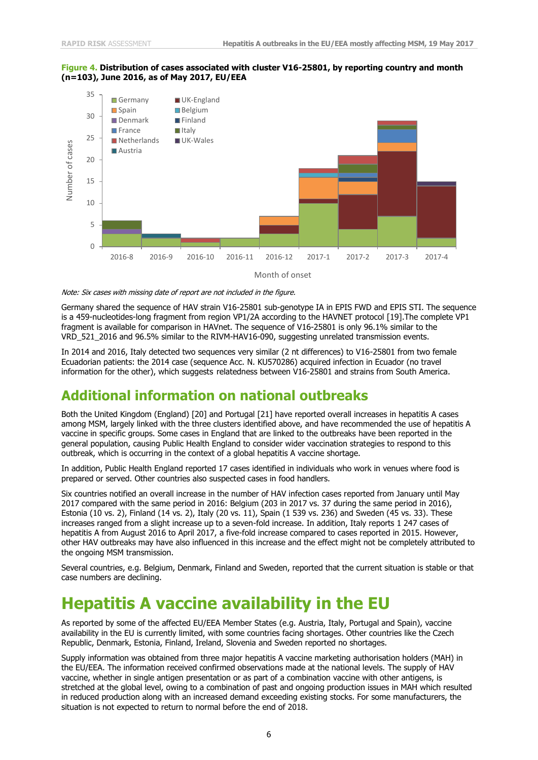#### **Figure 4. Distribution of cases associated with cluster V16-25801, by reporting country and month (n=103), June 2016, as of May 2017, EU/EEA**



Note: Six cases with missing date of report are not included in the figure.

Germany shared the sequence of HAV strain V16-25801 sub-genotype IA in EPIS FWD and EPIS STI. The sequence is a 459-nucleotides-long fragment from region VP1/2A according to the HAVNET protocol [19].The complete VP1 fragment is available for comparison in HAVnet. The sequence of V16-25801 is only 96.1% similar to the VRD\_521\_2016 and 96.5% similar to the RIVM-HAV16-090, suggesting unrelated transmission events.

In 2014 and 2016, Italy detected two sequences very similar (2 nt differences) to V16-25801 from two female Ecuadorian patients: the 2014 case (sequence Acc. N. KU570286) acquired infection in Ecuador (no travel information for the other), which suggests relatedness between V16-25801 and strains from South America.

### **Additional information on national outbreaks**

Both the United Kingdom (England) [20] and Portugal [21] have reported overall increases in hepatitis A cases among MSM, largely linked with the three clusters identified above, and have recommended the use of hepatitis A vaccine in specific groups. Some cases in England that are linked to the outbreaks have been reported in the general population, causing Public Health England to consider wider vaccination strategies to respond to this outbreak, which is occurring in the context of a global hepatitis A vaccine shortage.

In addition, Public Health England reported 17 cases identified in individuals who work in venues where food is prepared or served. Other countries also suspected cases in food handlers.

Six countries notified an overall increase in the number of HAV infection cases reported from January until May 2017 compared with the same period in 2016: Belgium (203 in 2017 vs. 37 during the same period in 2016), Estonia (10 vs. 2), Finland (14 vs. 2), Italy (20 vs. 11), Spain (1 539 vs. 236) and Sweden (45 vs. 33). These increases ranged from a slight increase up to a seven-fold increase. In addition, Italy reports 1 247 cases of hepatitis A from August 2016 to April 2017, a five-fold increase compared to cases reported in 2015. However, other HAV outbreaks may have also influenced in this increase and the effect might not be completely attributed to the ongoing MSM transmission.

Several countries, e.g. Belgium, Denmark, Finland and Sweden, reported that the current situation is stable or that case numbers are declining.

# **Hepatitis A vaccine availability in the EU**

As reported by some of the affected EU/EEA Member States (e.g. Austria, Italy, Portugal and Spain), vaccine availability in the EU is currently limited, with some countries facing shortages. Other countries like the Czech Republic, Denmark, Estonia, Finland, Ireland, Slovenia and Sweden reported no shortages.

Supply information was obtained from three major hepatitis A vaccine marketing authorisation holders (MAH) in the EU/EEA. The information received confirmed observations made at the national levels. The supply of HAV vaccine, whether in single antigen presentation or as part of a combination vaccine with other antigens, is stretched at the global level, owing to a combination of past and ongoing production issues in MAH which resulted in reduced production along with an increased demand exceeding existing stocks. For some manufacturers, the situation is not expected to return to normal before the end of 2018.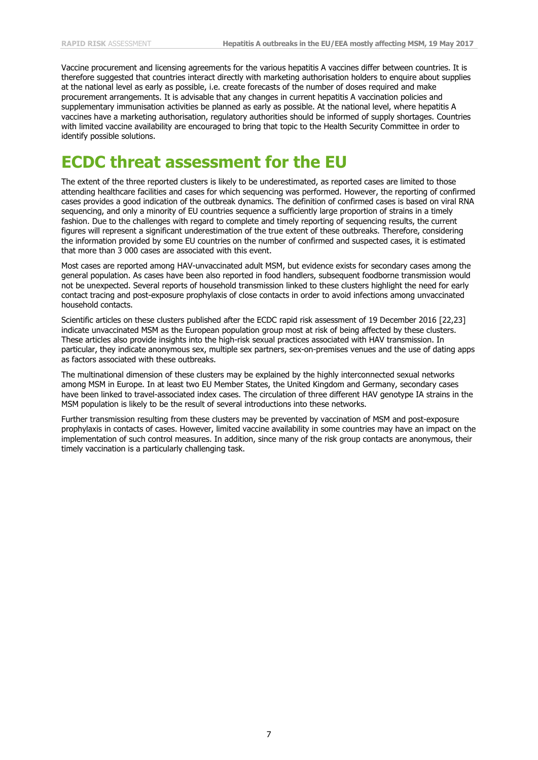Vaccine procurement and licensing agreements for the various hepatitis A vaccines differ between countries. It is therefore suggested that countries interact directly with marketing authorisation holders to enquire about supplies at the national level as early as possible, i.e. create forecasts of the number of doses required and make procurement arrangements. It is advisable that any changes in current hepatitis A vaccination policies and supplementary immunisation activities be planned as early as possible. At the national level, where hepatitis A vaccines have a marketing authorisation, regulatory authorities should be informed of supply shortages. Countries with limited vaccine availability are encouraged to bring that topic to the Health Security Committee in order to identify possible solutions.

# **ECDC threat assessment for the EU**

The extent of the three reported clusters is likely to be underestimated, as reported cases are limited to those attending healthcare facilities and cases for which sequencing was performed. However, the reporting of confirmed cases provides a good indication of the outbreak dynamics. The definition of confirmed cases is based on viral RNA sequencing, and only a minority of EU countries sequence a sufficiently large proportion of strains in a timely fashion. Due to the challenges with regard to complete and timely reporting of sequencing results, the current figures will represent a significant underestimation of the true extent of these outbreaks. Therefore, considering the information provided by some EU countries on the number of confirmed and suspected cases, it is estimated that more than 3 000 cases are associated with this event.

Most cases are reported among HAV-unvaccinated adult MSM, but evidence exists for secondary cases among the general population. As cases have been also reported in food handlers, subsequent foodborne transmission would not be unexpected. Several reports of household transmission linked to these clusters highlight the need for early contact tracing and post-exposure prophylaxis of close contacts in order to avoid infections among unvaccinated household contacts.

Scientific articles on these clusters published after the ECDC rapid risk assessment of 19 December 2016 [22,23] indicate unvaccinated MSM as the European population group most at risk of being affected by these clusters. These articles also provide insights into the high-risk sexual practices associated with HAV transmission. In particular, they indicate anonymous sex, multiple sex partners, sex-on-premises venues and the use of dating apps as factors associated with these outbreaks.

The multinational dimension of these clusters may be explained by the highly interconnected sexual networks among MSM in Europe. In at least two EU Member States, the United Kingdom and Germany, secondary cases have been linked to travel-associated index cases. The circulation of three different HAV genotype IA strains in the MSM population is likely to be the result of several introductions into these networks.

Further transmission resulting from these clusters may be prevented by vaccination of MSM and post-exposure prophylaxis in contacts of cases. However, limited vaccine availability in some countries may have an impact on the implementation of such control measures. In addition, since many of the risk group contacts are anonymous, their timely vaccination is a particularly challenging task.